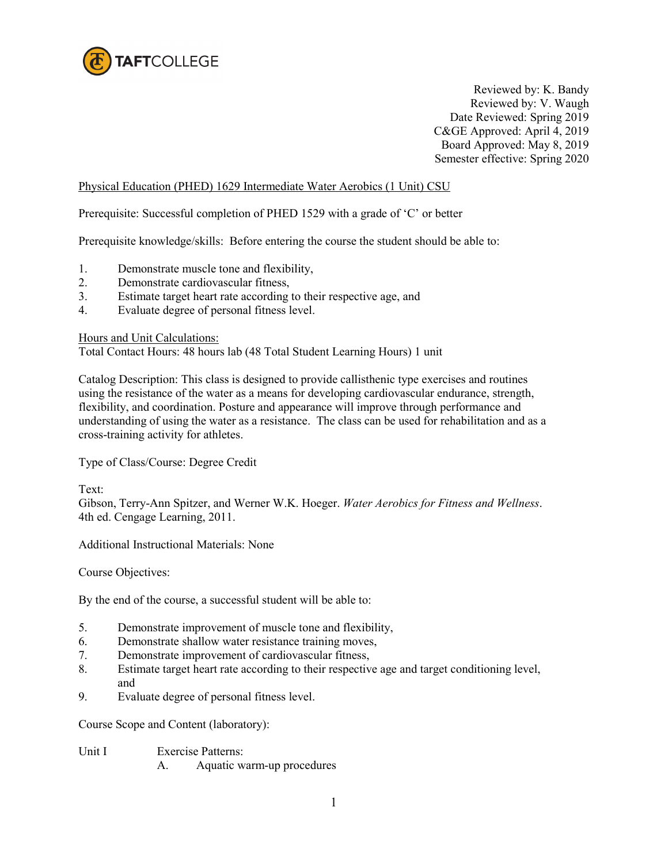

Reviewed by: K. Bandy Reviewed by: V. Waugh Date Reviewed: Spring 2019 C&GE Approved: April 4, 2019 Board Approved: May 8, 2019 Semester effective: Spring 2020

Physical Education (PHED) 1629 Intermediate Water Aerobics (1 Unit) CSU

Prerequisite: Successful completion of PHED 1529 with a grade of 'C' or better

Prerequisite knowledge/skills: Before entering the course the student should be able to:

- 1. Demonstrate muscle tone and flexibility,
- 2. Demonstrate cardiovascular fitness,
- 3. Estimate target heart rate according to their respective age, and
- 4. Evaluate degree of personal fitness level.

Hours and Unit Calculations:

Total Contact Hours: 48 hours lab (48 Total Student Learning Hours) 1 unit

Catalog Description: This class is designed to provide callisthenic type exercises and routines using the resistance of the water as a means for developing cardiovascular endurance, strength, flexibility, and coordination. Posture and appearance will improve through performance and understanding of using the water as a resistance. The class can be used for rehabilitation and as a cross-training activity for athletes.

Type of Class/Course: Degree Credit

Text:

Gibson, Terry-Ann Spitzer, and Werner W.K. Hoeger. *Water Aerobics for Fitness and Wellness*. 4th ed. Cengage Learning, 2011.

Additional Instructional Materials: None

Course Objectives:

By the end of the course, a successful student will be able to:

- 5. Demonstrate improvement of muscle tone and flexibility,
- 6. Demonstrate shallow water resistance training moves,
- 7. Demonstrate improvement of cardiovascular fitness,
- 8. Estimate target heart rate according to their respective age and target conditioning level, and
- 9. Evaluate degree of personal fitness level.

Course Scope and Content (laboratory):

- Unit I Exercise Patterns:
	- A. Aquatic warm-up procedures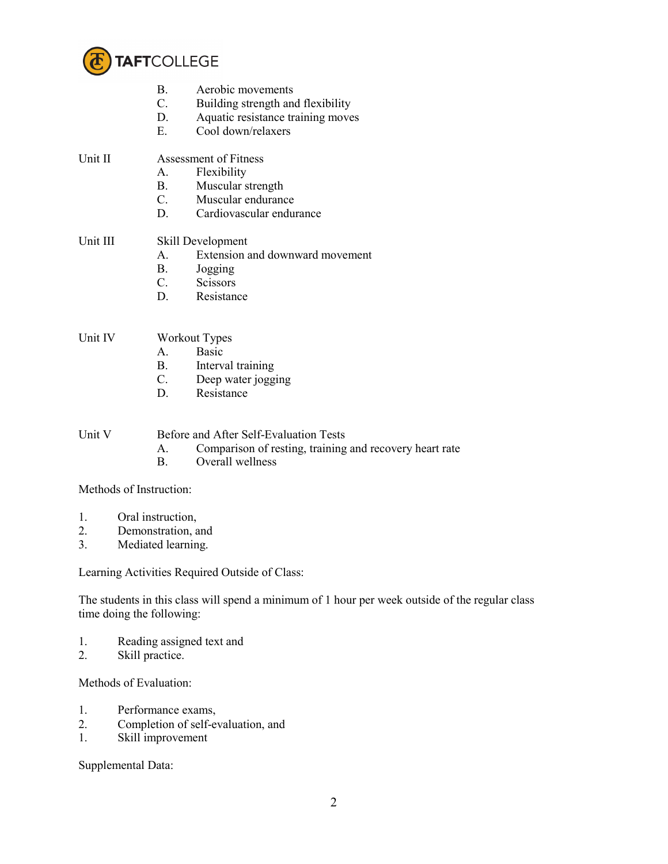

|          | В.<br>$\mathcal{C}$ .<br>D.<br>Е. | Aerobic movements<br>Building strength and flexibility<br>Aquatic resistance training moves<br>Cool down/relaxers |
|----------|-----------------------------------|-------------------------------------------------------------------------------------------------------------------|
| Unit II  | Assessment of Fitness             |                                                                                                                   |
|          | A.                                | Flexibility                                                                                                       |
|          | В.                                | Muscular strength                                                                                                 |
|          | $C_{-}$                           | Muscular endurance                                                                                                |
|          | D.                                | Cardiovascular endurance                                                                                          |
| Unit III | Skill Development                 |                                                                                                                   |

- A. Extension and downward movement
- B. Jogging
- C. Scissors
- D. Resistance
- Unit IV Workout Types
	- A. Basic
	- B. Interval training<br>C. Deep water jogg
	- Deep water jogging
	- D. Resistance
- 

Unit V Before and After Self-Evaluation Tests

- A. Comparison of resting, training and recovery heart rate
- B. Overall wellness

Methods of Instruction:

- 1. Oral instruction,
- 2. Demonstration, and
- 3. Mediated learning.

Learning Activities Required Outside of Class:

The students in this class will spend a minimum of 1 hour per week outside of the regular class time doing the following:

- 1. Reading assigned text and
- 2. Skill practice.

Methods of Evaluation:

- 1. Performance exams,
- 2. Completion of self-evaluation, and
- 1. Skill improvement

Supplemental Data: